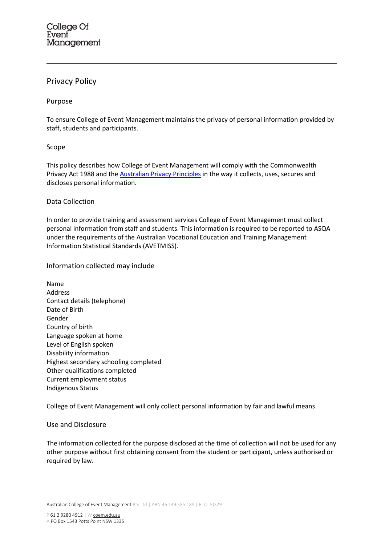# Privacy Policy

# Purpose

To ensure College of Event Management maintains the privacy of personal information provided by staff, students and participants.

### Scope

This policy describes how College of Event Management will comply with the Commonwealth Privacy Act 1988 and the **Australian Privacy Principles** in the way it collects, uses, secures and discloses personal information.

### Data Collection

In order to provide training and assessment services College of Event Management must collect personal information from staff and students. This information is required to be reported to ASQA under the requirements of the Australian Vocational Education and Training Management Information Statistical Standards (AVETMISS).

Information collected may include

Name Address Contact details (telephone) Date of Birth Gender Country of birth Language spoken at home Level of English spoken Disability information Highest secondary schooling completed Other qualifications completed Current employment status Indigenous Status

College of Event Management will only collect personal information by fair and lawful means.

# Use and Disclosure

The information collected for the purpose disclosed at the time of collection will not be used for any other purpose without first obtaining consent from the student or participant, unless authorised or required by law.

Australian College of Event Management Pty Ltd | ABN 46 149 585 188 | RTO 70229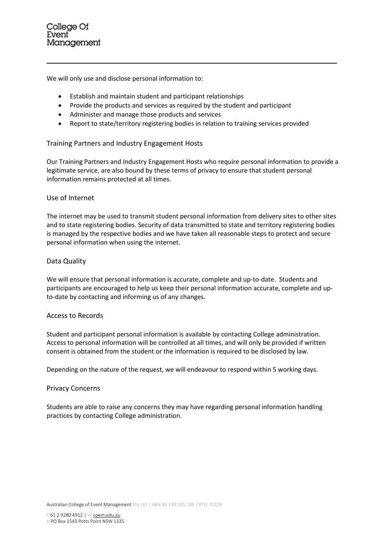We will only use and disclose personal information to:

- Establish and maintain student and participant relationships
- Provide the products and services as required by the student and participant
- Administer and manage those products and services
- Report to state/territory registering bodies in relation to training services provided

# Training Partners and Industry Engagement Hosts

Our Training Partners and Industry Engagement Hosts who require personal information to provide a legitimate service, are also bound by these terms of privacy to ensure that student personal information remains protected at all times.

#### Use of Internet

The internet may be used to transmit student personal information from delivery sites to other sites and to state registering bodies. Security of data transmitted to state and territory registering bodies is managed by the respective bodies and we have taken all reasonable steps to protect and secure personal information when using the internet.

#### Data Quality

We will ensure that personal information is accurate, complete and up-to-date. Students and participants are encouraged to help us keep their personal information accurate, complete and upto-date by contacting and informing us of any changes.

#### Access to Records

Student and participant personal information is available by contacting College administration. Access to personal information will be controlled at all times, and will only be provided if written consent is obtained from the student or the information is required to be disclosed by law.

Depending on the nature of the request, we will endeavour to respond within 5 working days.

#### Privacy Concerns

Students are able to raise any concerns they may have regarding personal information handling practices by contacting College administration.